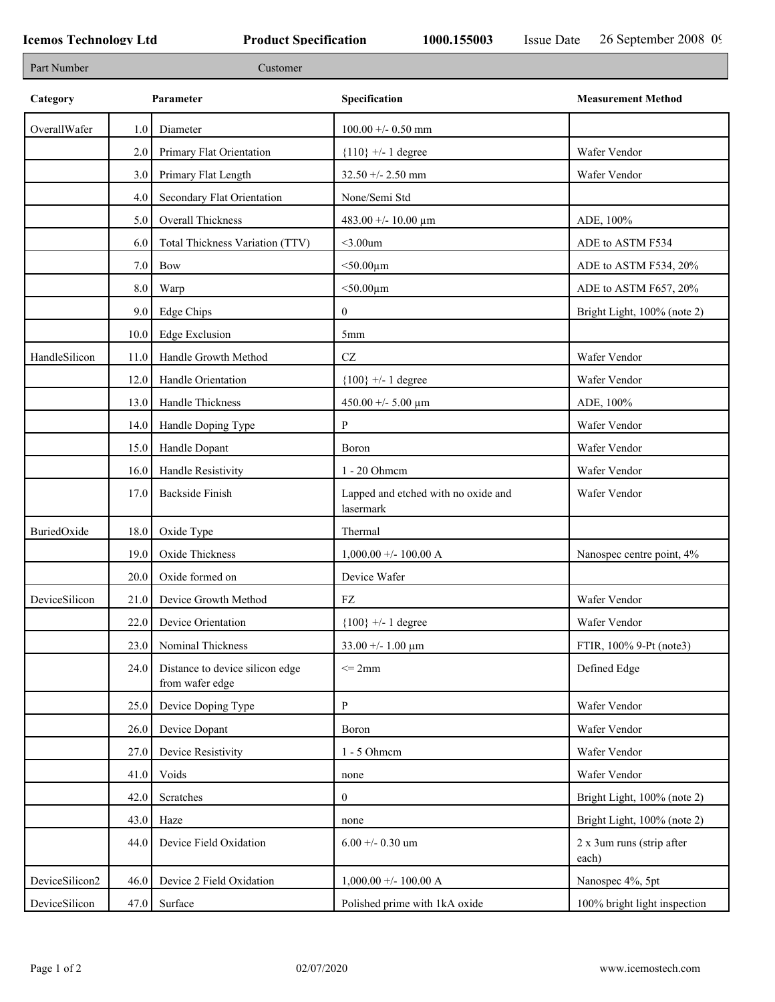| Part Number    |      | Customer                                           |                                                  |                                    |
|----------------|------|----------------------------------------------------|--------------------------------------------------|------------------------------------|
| Category       |      | Parameter                                          | Specification                                    | <b>Measurement Method</b>          |
| OverallWafer   | 1.0  | Diameter                                           | $100.00 + - 0.50$ mm                             |                                    |
|                | 2.0  | Primary Flat Orientation                           | ${110}$ +/- 1 degree                             | Wafer Vendor                       |
|                | 3.0  | Primary Flat Length                                | $32.50 + - 2.50$ mm                              | Wafer Vendor                       |
|                | 4.0  | Secondary Flat Orientation                         | None/Semi Std                                    |                                    |
|                | 5.0  | Overall Thickness                                  | 483.00 +/- 10.00 μm                              | ADE, 100%                          |
|                | 6.0  | Total Thickness Variation (TTV)                    | $<$ 3.00 $um$                                    | ADE to ASTM F534                   |
|                | 7.0  | Bow                                                | $<$ 50.00 $\mu$ m                                | ADE to ASTM F534, 20%              |
|                | 8.0  | Warp                                               | $<$ 50.00 $\mu$ m                                | ADE to ASTM F657, 20%              |
|                | 9.0  | <b>Edge Chips</b>                                  | $\overline{0}$                                   | Bright Light, 100% (note 2)        |
|                | 10.0 | Edge Exclusion                                     | 5 <sub>mm</sub>                                  |                                    |
| HandleSilicon  | 11.0 | Handle Growth Method                               | $\operatorname{CZ}$                              | Wafer Vendor                       |
|                | 12.0 | Handle Orientation                                 | ${100}$ +/- 1 degree                             | Wafer Vendor                       |
|                | 13.0 | Handle Thickness                                   | 450.00 +/- 5.00 $\mu$ m                          | ADE, 100%                          |
|                | 14.0 | Handle Doping Type                                 | P                                                | Wafer Vendor                       |
|                | 15.0 | Handle Dopant                                      | Boron                                            | Wafer Vendor                       |
|                | 16.0 | Handle Resistivity                                 | 1 - 20 Ohmem                                     | Wafer Vendor                       |
|                | 17.0 | <b>Backside Finish</b>                             | Lapped and etched with no oxide and<br>lasermark | Wafer Vendor                       |
| BuriedOxide    | 18.0 | Oxide Type                                         | Thermal                                          |                                    |
|                | 19.0 | Oxide Thickness                                    | $1,000.00 +/- 100.00 A$                          | Nanospec centre point, 4%          |
|                | 20.0 | Oxide formed on                                    | Device Wafer                                     |                                    |
| DeviceSilicon  | 21.0 | Device Growth Method                               | FZ                                               | Wafer Vendor                       |
|                | 22.0 | Device Orientation                                 | ${100}$ +/- 1 degree                             | Wafer Vendor                       |
|                | 23.0 | Nominal Thickness                                  | 33.00 +/- 1.00 $\mu$ m                           | FTIR, 100% 9-Pt (note3)            |
|                | 24.0 | Distance to device silicon edge<br>from wafer edge | $\leq$ 2mm                                       | Defined Edge                       |
|                | 25.0 | Device Doping Type                                 | ${\bf P}$                                        | Wafer Vendor                       |
|                | 26.0 | Device Dopant                                      | Boron                                            | Wafer Vendor                       |
|                | 27.0 | Device Resistivity                                 | $1 - 5$ Ohmem                                    | Wafer Vendor                       |
|                | 41.0 | Voids                                              | none                                             | Wafer Vendor                       |
|                | 42.0 | Scratches                                          | $\overline{0}$                                   | Bright Light, 100% (note 2)        |
|                | 43.0 | Haze                                               | none                                             | Bright Light, 100% (note 2)        |
|                | 44.0 | Device Field Oxidation                             | $6.00 + 0.30$ um                                 | 2 x 3um runs (strip after<br>each) |
| DeviceSilicon2 | 46.0 | Device 2 Field Oxidation                           | $1,000.00 + 100.00$ A                            | Nanospec 4%, 5pt                   |
| DeviceSilicon  | 47.0 | Surface                                            | Polished prime with 1kA oxide                    | 100% bright light inspection       |